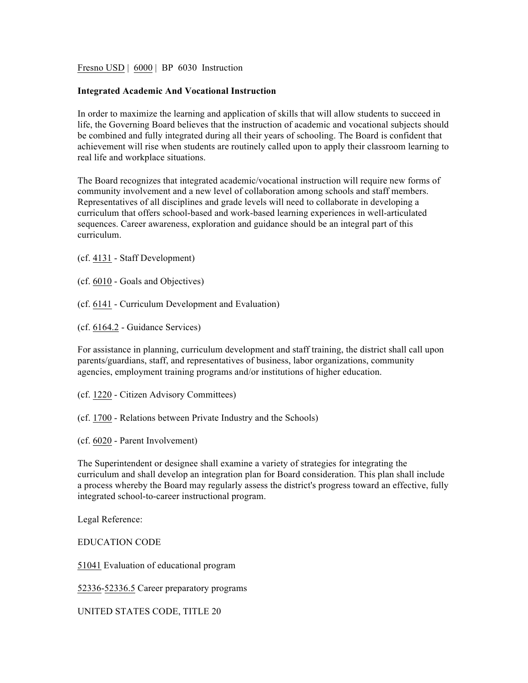Fresno USD | 6000 | BP 6030 Instruction

## **Integrated Academic And Vocational Instruction**

In order to maximize the learning and application of skills that will allow students to succeed in life, the Governing Board believes that the instruction of academic and vocational subjects should be combined and fully integrated during all their years of schooling. The Board is confident that achievement will rise when students are routinely called upon to apply their classroom learning to real life and workplace situations.

The Board recognizes that integrated academic/vocational instruction will require new forms of community involvement and a new level of collaboration among schools and staff members. Representatives of all disciplines and grade levels will need to collaborate in developing a curriculum that offers school-based and work-based learning experiences in well-articulated sequences. Career awareness, exploration and guidance should be an integral part of this curriculum.

(cf. 4131 - Staff Development)

- (cf. 6010 Goals and Objectives)
- (cf. 6141 Curriculum Development and Evaluation)
- (cf. 6164.2 Guidance Services)

For assistance in planning, curriculum development and staff training, the district shall call upon parents/guardians, staff, and representatives of business, labor organizations, community agencies, employment training programs and/or institutions of higher education.

(cf. 1220 - Citizen Advisory Committees)

(cf. 1700 - Relations between Private Industry and the Schools)

(cf. 6020 - Parent Involvement)

The Superintendent or designee shall examine a variety of strategies for integrating the curriculum and shall develop an integration plan for Board consideration. This plan shall include a process whereby the Board may regularly assess the district's progress toward an effective, fully integrated school-to-career instructional program.

Legal Reference:

EDUCATION CODE

51041 Evaluation of educational program

52336-52336.5 Career preparatory programs

UNITED STATES CODE, TITLE 20